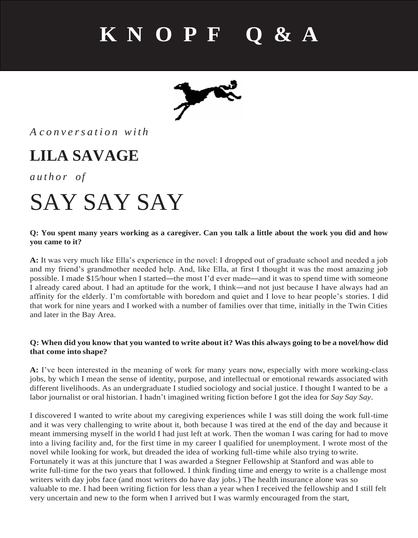### **K N O P F Q & A**



### *A c o n v e r s a t i o n w i t h*

### **LILA SAVAGE**

*a u t h o r of*

## SAY SAY SAY

#### **Q: You spent many years working as a caregiver. Can you talk a little about the work you did and how you came to it?**

**A:** It was very much like Ella's experience in the novel: I dropped out of graduate school and needed a job and my friend's grandmother needed help. And, like Ella, at first I thought it was the most amazing job possible. I made \$15/hour when I started—the most I'd ever made—and it was to spend time with someone I already cared about. I had an aptitude for the work, I think—and not just because I have always had an affinity for the elderly. I'm comfortable with boredom and quiet and I love to hear people's stories. I did that work for nine years and I worked with a number of families over that time, initially in the Twin Cities and later in the Bay Area.

#### Q: When did you know that you wanted to write about it? Was this always going to be a novel/how did **that come into shape?**

**A:** I've been interested in the meaning of work for many years now, especially with more working-class jobs, by which I mean the sense of identity, purpose, and intellectual or emotional rewards associated with different livelihoods. As an undergraduate I studied sociology and social justice. I thought I wanted to be a labor journalist or oral historian. I hadn't imagined writing fiction before I got the idea for *Say Say Say*.

I discovered I wanted to write about my caregiving experiences while I was still doing the work full-time and it was very challenging to write about it, both because I was tired at the end of the day and because it meant immersing myself in the world I had just left at work. Then the woman I was caring for had to move into a living facility and, for the first time in my career I qualified for unemployment. I wrote most of the novel while looking for work, but dreaded the idea of working full-time while also trying to write. Fortunately it was at this juncture that I was awarded a Stegner Fellowship at Stanford and was able to write full-time for the two years that followed. I think finding time and energy to write is a challenge most writers with day jobs face (and most writers do have day jobs.) The health insurance alone was so valuable to me. I had been writing fiction for less than a year when I received the fellowship and I still felt very uncertain and new to the form when I arrived but I was warmly encouraged from the start,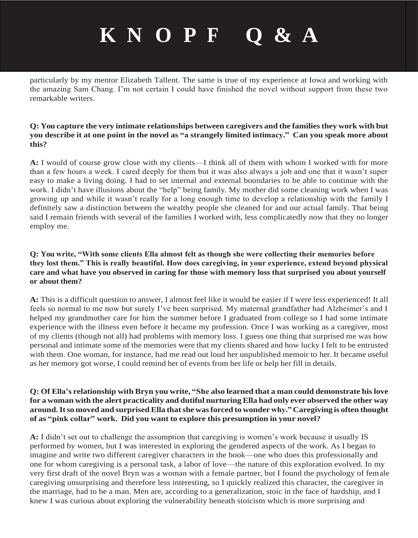### **K N O P F Q & A**

particularly by my mentor Elizabeth Tallent. The same is true of my experience at Iowa and working with the amazing Sam Chang. I'm not certain I could have finished the novel without support from these two remarkable writers.

#### **Q: You capture the very intimate relationships between caregivers and the familiesthey work with but**  you describe it at one point in the novel as "a strangely limited intimacy." Can you speak more about **this?**

**A:** I would of course grow close with my clients—I think all of them with whom I worked with for more than a few hours a week. I cared deeply for them but it was also always a job and one that it wasn't super easy to make a living doing. I had to set internal and external boundaries to be able to continue with the work. I didn't have illusions about the "help" being family. My mother did some cleaning work when I was growing up and while it wasn't really for a long enough time to develop a relationship with the family I definitely saw a distinction between the wealthy people she cleaned for and our actual family. That being said I remain friends with several of the families I worked with, less complicatedly now that they no longer employ me.

#### **Q: You write, "With some clients Ella almost felt as though she were collecting their memories before they lost them." This is really beautiful. How does caregiving, in your experience, extend beyond physical care and what have you observed in caring for those with memory loss that surprised you about yourself or about them?**

**A:** This is a difficult question to answer, I almost feel like it would be easier if I were less experienced! It all feels so normal to me now but surely I've been surprised. My maternal grandfather had Alzheimer's and I helped my grandmother care for him the summer before I graduated from college so I had some intimate experience with the illness even before it became my profession. Once I was working as a caregiver, most of my clients (though not all) had problems with memory loss. I guess one thing that surprised me was how personal and intimate some of the memories were that my clients shared and how lucky I felt to be entrusted with them. One woman, for instance, had me read out loud her unpublished memoir to her. It became useful as her memory got worse, I could remind her of events from her life or help her fill in details.

#### Q: Of Ella's relationship with Bryn you write, "She also learned that a man could demonstrate his love for a woman with the alert practicality and dutiful nurturing Ella had only ever observed the other way **around.Itso moved and surprised Ella thatshe wasforced to wonder why." Caregiving is often thought of as "pink collar" work. Did you want to explore this presumption in your novel?**

**A:** I didn't set out to challenge the assumption that caregiving is women's work because it usually IS performed by women, but I was interested in exploring the gendered aspects of the work. As I began to imagine and write two different caregiver characters in the book—one who does this professionally and one for whom caregiving is a personal task, a labor of love—the nature of this exploration evolved. In my very first draft of the novel Bryn was a woman with a female partner, but I found the psychology of female caregiving unsurprising and therefore less interesting, so I quickly realized this character, the caregiver in the marriage, had to be a man. Men are, according to a generalization, stoic in the face of hardship, and I knew I was curious about exploring the vulnerability beneath stoicism which is more surprising and